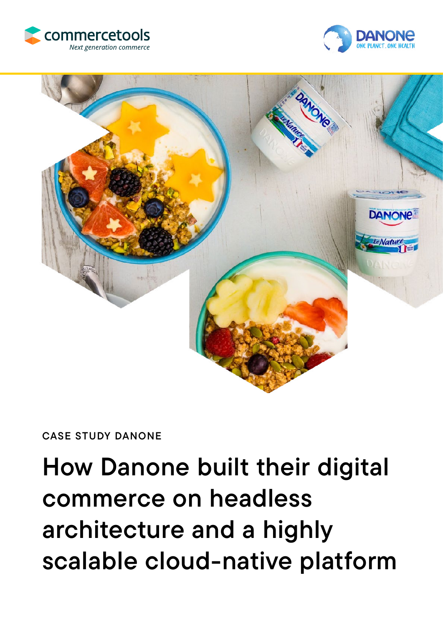





CASE STUDY DANONE

How Danone built their digital commerce on headless architecture and a highly scalable cloud-native platform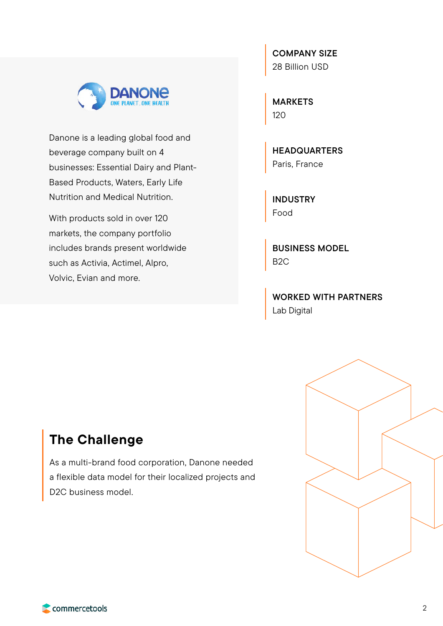

Danone is a leading global food and beverage company built on 4 businesses: Essential Dairy and Plant-Based Products, Waters, Early Life Nutrition and Medical Nutrition.

With products sold in over 120 markets, the company portfolio includes brands present worldwide such as Activia, Actimel, Alpro, Volvic, Evian and more.

COMPANY SIZE 28 Billion USD

MARKETS 120

**HEADQUARTERS** Paris, France

INDUSTRY Food

BUSINESS MODEL B2C

WORKED WITH PARTNERS Lab Digital

## The Challenge

As a multi-brand food corporation, Danone needed a flexible data model for their localized projects and D2C business model.



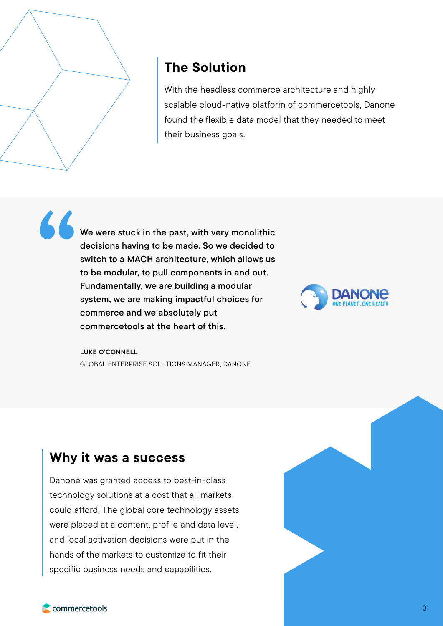

# The Solution

With the headless commerce architecture and highly scalable cloud-native platform of commercetools, Danone found the flexible data model that they needed to meet their business goals.

We were stuck in the past, with very monolithic decisions having to be made. So we decided to switch to a MACH architecture, which allows us to be modular, to pull components in and out. Fundamentally, we are building a modular system, we are making impactful choices for commerce and we absolutely put commercetools at the heart of this. "



LUKE O'CONNELL GLOBAL ENTERPRISE SOLUTIONS MANAGER, DANONE

### Why it was a success

Danone was granted access to best-in-class technology solutions at a cost that all markets could afford. The global core technology assets were placed at a content, profile and data level, and local activation decisions were put in the hands of the markets to customize to fit their specific business needs and capabilities.